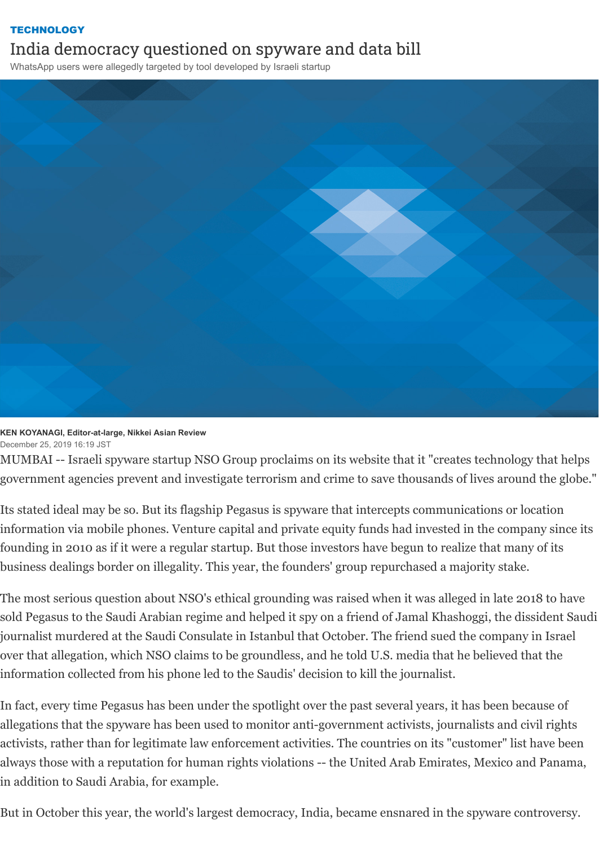## **[TECHNOLOGY](https://asia.nikkei.com/Business/Technology)** India democracy questioned on spyware and data bill

WhatsApp users were allegedly targeted by tool developed by Israeli startup



## **KEN KOYANAGI, Editor-at-large, Nikkei Asian Review** December 25, 2019 16:19 JST

MUMBAI -- Israeli spyware startup NSO Group proclaims on its website that it "creates technology that helps government agencies prevent and investigate terrorism and crime to save thousands of lives around the globe."

Its stated ideal may be so. But its flagship Pegasus is spyware that intercepts communications or location information via mobile phones. Venture capital and private equity funds had invested in the company since its founding in 2010 as if it were a regular startup. But those investors have begun to realize that many of its business dealings border on illegality. This year, the founders' group repurchased a majority stake.

The most serious question about NSO's ethical grounding was raised when it was alleged in late 2018 to have sold Pegasus to the Saudi Arabian regime and helped it spy on a friend of Jamal Khashoggi, the dissident Saudi journalist murdered at the Saudi Consulate in Istanbul that October. The friend sued the company in Israel over that allegation, which NSO claims to be groundless, and he told U.S. media that he believed that the information collected from his phone led to the Saudis' decision to kill the journalist.

In fact, every time Pegasus has been under the spotlight over the past several years, it has been because of allegations that the spyware has been used to monitor anti-government activists, journalists and civil rights activists, rather than for legitimate law enforcement activities. The countries on its "customer" list have been always those with a reputation for human rights violations -- the United Arab Emirates, Mexico and Panama, in addition to Saudi Arabia, for example.

But in October this year, the world's largest democracy, India, became ensnared in the spyware controversy.